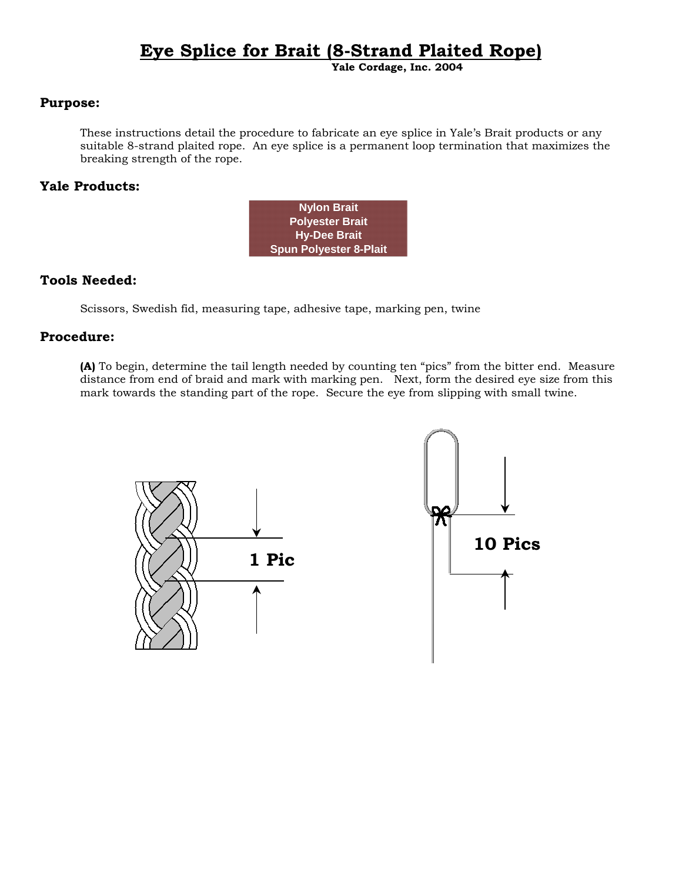# **Eye Splice for Brait (8-Strand Plaited Rope)**

**Yale Cordage, Inc. 2004**

## **Purpose:**

These instructions detail the procedure to fabricate an eye splice in Yale's Brait products or any suitable 8-strand plaited rope. An eye splice is a permanent loop termination that maximizes the breaking strength of the rope.

## **Yale Products:**

| <b>Nylon Brait</b>            |  |
|-------------------------------|--|
| <b>Polyester Brait</b>        |  |
| <b>Hy-Dee Brait</b>           |  |
| <b>Spun Polyester 8-Plait</b> |  |

## **Tools Needed:**

Scissors, Swedish fid, measuring tape, adhesive tape, marking pen, twine

#### **Procedure:**

**(A)** To begin, determine the tail length needed by counting ten "pics" from the bitter end. Measure distance from end of braid and mark with marking pen. Next, form the desired eye size from this mark towards the standing part of the rope. Secure the eye from slipping with small twine.

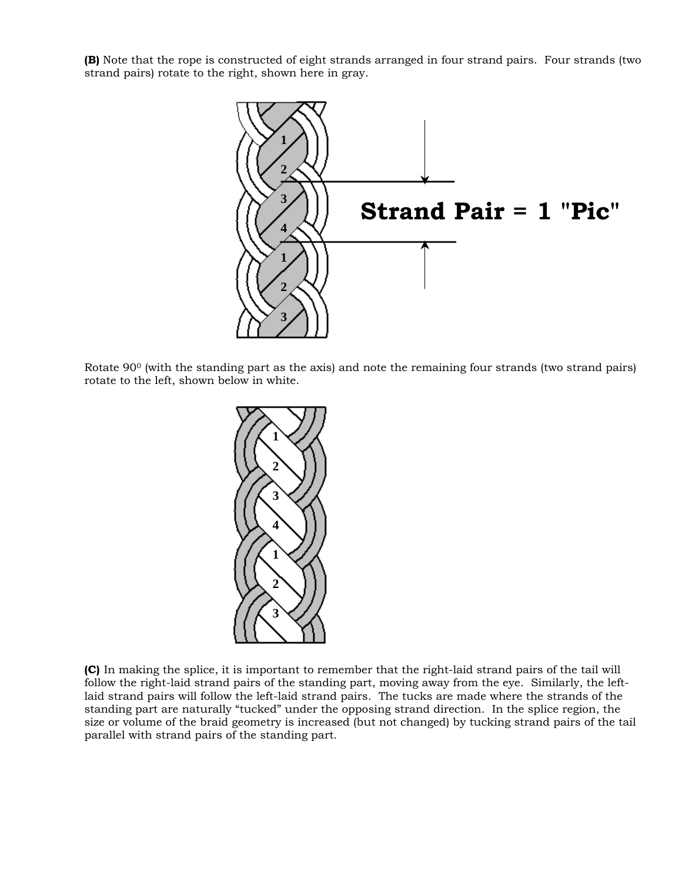**(B)** Note that the rope is constructed of eight strands arranged in four strand pairs. Four strands (two strand pairs) rotate to the right, shown here in gray.



Rotate 90<sup>0</sup> (with the standing part as the axis) and note the remaining four strands (two strand pairs) rotate to the left, shown below in white.



 **(C)** In making the splice, it is important to remember that the right-laid strand pairs of the tail will follow the right-laid strand pairs of the standing part, moving away from the eye. Similarly, the leftlaid strand pairs will follow the left-laid strand pairs. The tucks are made where the strands of the standing part are naturally "tucked" under the opposing strand direction. In the splice region, the size or volume of the braid geometry is increased (but not changed) by tucking strand pairs of the tail parallel with strand pairs of the standing part.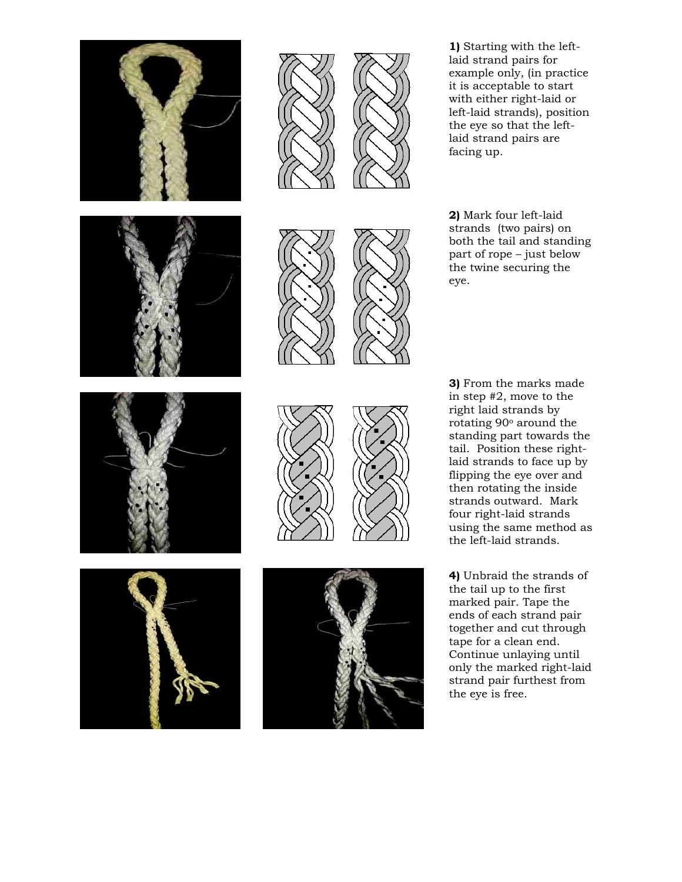

**1)** Starting with the leftlaid strand pairs for example only, (in practice it is acceptable to start with either right-laid or left-laid strands), position the eye so that the leftlaid strand pairs are facing up.

**2)** Mark four left-laid strands (two pairs) on both the tail and standing part of rope – just below the twine securing the eye.

**3)** From the marks made in step #2, move to the right laid strands by rotating 90o around the standing part towards the tail. Position these rightlaid strands to face up by flipping the eye over and then rotating the inside strands outward. Mark four right-laid strands using the same method as the left-laid strands.

**4)** Unbraid the strands of the tail up to the first marked pair. Tape the ends of each strand pair together and cut through tape for a clean end. Continue unlaying until only the marked right-laid strand pair furthest from the eye is free.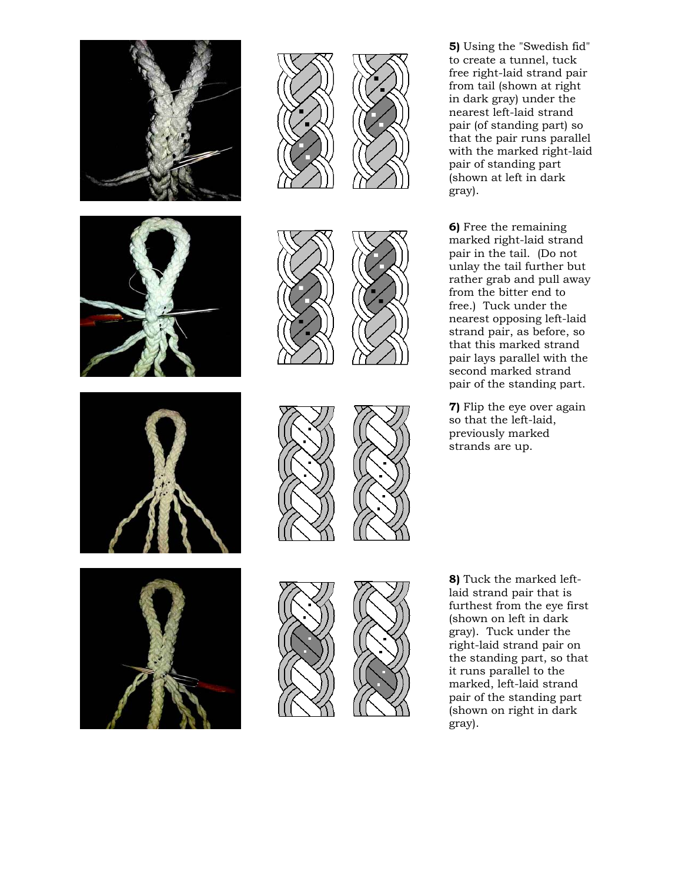

**5)** Using the "Swedish fid" to create a tunnel, tuck free right-laid strand pair from tail (shown at right in dark gray) under the nearest left-laid strand pair (of standing part) so that the pair runs parallel with the marked right-laid pair of standing part (shown at left in dark gray).

**6)** Free the remaining marked right-laid strand pair in the tail. (Do not unlay the tail further but rather grab and pull away from the bitter end to free.) Tuck under the nearest opposing left-laid strand pair, as before, so that this marked strand pair lays parallel with the second marked strand pair of the standing part.

**7)** Flip the eye over again so that the left-laid, previously marked strands are up.

**8)** Tuck the marked leftlaid strand pair that is furthest from the eye first (shown on left in dark gray). Tuck under the right-laid strand pair on the standing part, so that it runs parallel to the marked, left-laid strand pair of the standing part (shown on right in dark gray).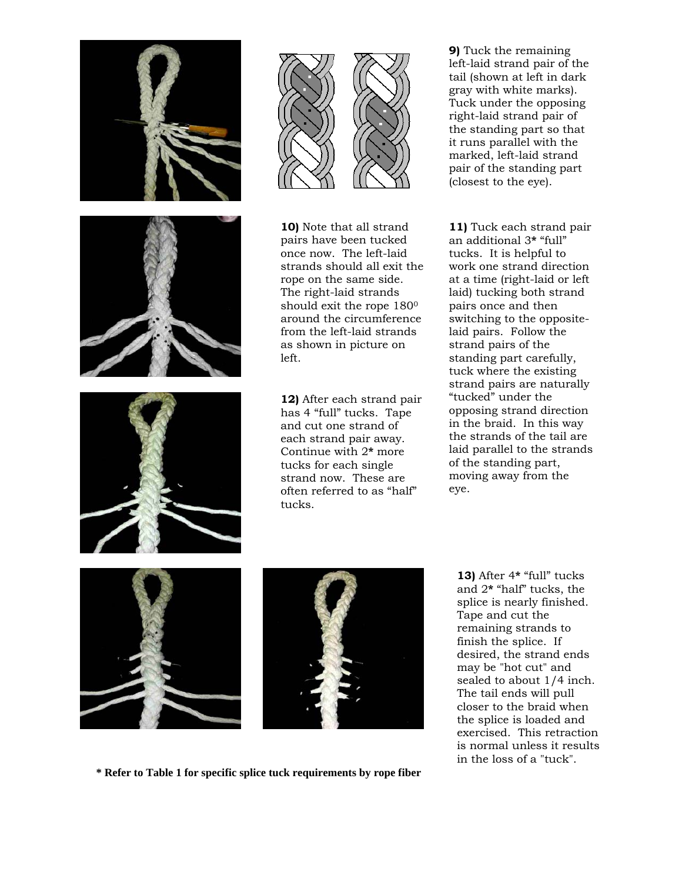





**10)** Note that all strand pairs have been tucked once now. The left-laid strands should all exit the rope on the same side. The right-laid strands should exit the rope 180<sup>0</sup> around the circumference from the left-laid strands as shown in picture on left.

**12)** After each strand pair has 4 "full" tucks. Tape and cut one strand of each strand pair away. Continue with 2**\*** more tucks for each single strand now. These are often referred to as "half" tucks.

**9)** Tuck the remaining left-laid strand pair of the tail (shown at left in dark gray with white marks). Tuck under the opposing right-laid strand pair of the standing part so that it runs parallel with the marked, left-laid strand pair of the standing part (closest to the eye).

**11)** Tuck each strand pair an additional 3**\*** "full" tucks. It is helpful to work one strand direction at a time (right-laid or left laid) tucking both strand pairs once and then switching to the oppositelaid pairs. Follow the strand pairs of the standing part carefully, tuck where the existing strand pairs are naturally "tucked" under the opposing strand direction in the braid. In this way the strands of the tail are laid parallel to the strands of the standing part, moving away from the eye.







**13)** After 4**\*** "full" tucks and 2**\*** "half" tucks, the splice is nearly finished. Tape and cut the remaining strands to finish the splice. If desired, the strand ends may be "hot cut" and sealed to about 1/4 inch. The tail ends will pull closer to the braid when the splice is loaded and exercised. This retraction is normal unless it results in the loss of a "tuck".

**\* Refer to Table 1 for specific splice tuck requirements by rope fiber**